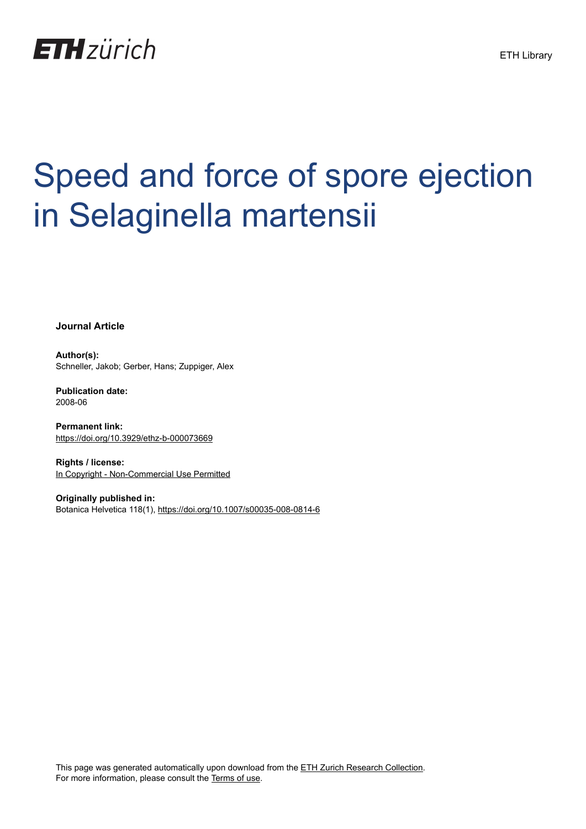

# Speed and force of spore ejection in Selaginella martensii

**Journal Article**

**Author(s):** Schneller, Jakob; Gerber, Hans; Zuppiger, Alex

**Publication date:** 2008-06

**Permanent link:** <https://doi.org/10.3929/ethz-b-000073669>

**Rights / license:** [In Copyright - Non-Commercial Use Permitted](http://rightsstatements.org/page/InC-NC/1.0/)

**Originally published in:** Botanica Helvetica 118(1),<https://doi.org/10.1007/s00035-008-0814-6>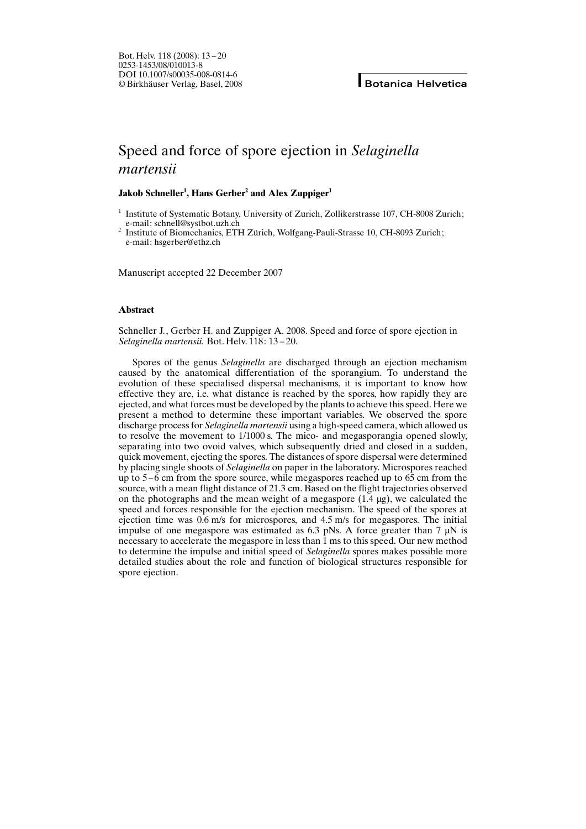# Speed and force of spore ejection in Selaginella martensii

# Jakob Schneller<sup>1</sup>, Hans Gerber<sup>2</sup> and Alex Zuppiger<sup>1</sup>

<sup>1</sup> Institute of Systematic Botany, University of Zurich, Zollikerstrasse 107, CH-8008 Zurich; e-mail: schnell@systbot.uzh.ch

<sup>2</sup> Institute of Biomechanics, ETH Zürich, Wolfgang-Pauli-Strasse 10, CH-8093 Zurich; e-mail: hsgerber@ethz.ch

Manuscript accepted 22 December 2007

# Abstract

Schneller J., Gerber H. and Zuppiger A. 2008. Speed and force of spore ejection in Selaginella martensii. Bot. Helv. 118: 13 – 20.

Spores of the genus Selaginella are discharged through an ejection mechanism caused by the anatomical differentiation of the sporangium. To understand the evolution of these specialised dispersal mechanisms, it is important to know how effective they are, i.e. what distance is reached by the spores, how rapidly they are ejected, and what forces must be developed by the plants to achieve this speed. Here we present a method to determine these important variables. We observed the spore discharge process for *Selaginella martensii* using a high-speed camera, which allowed us to resolve the movement to 1/1000 s. The mico- and megasporangia opened slowly, separating into two ovoid valves, which subsequently dried and closed in a sudden, quick movement, ejecting the spores. The distances of spore dispersal were determined by placing single shoots of Selaginella on paper in the laboratory. Microspores reached up to 5 – 6 cm from the spore source, while megaspores reached up to 65 cm from the source, with a mean flight distance of 21.3 cm. Based on the flight trajectories observed on the photographs and the mean weight of a megaspore  $(1.4 \mu g)$ , we calculated the speed and forces responsible for the ejection mechanism. The speed of the spores at ejection time was 0.6 m/s for microspores, and 4.5 m/s for megaspores. The initial impulse of one megaspore was estimated as 6.3 pNs. A force greater than 7  $\mu$ N is necessary to accelerate the megaspore in less than 1 ms to this speed. Our new method to determine the impulse and initial speed of Selaginella spores makes possible more detailed studies about the role and function of biological structures responsible for spore ejection.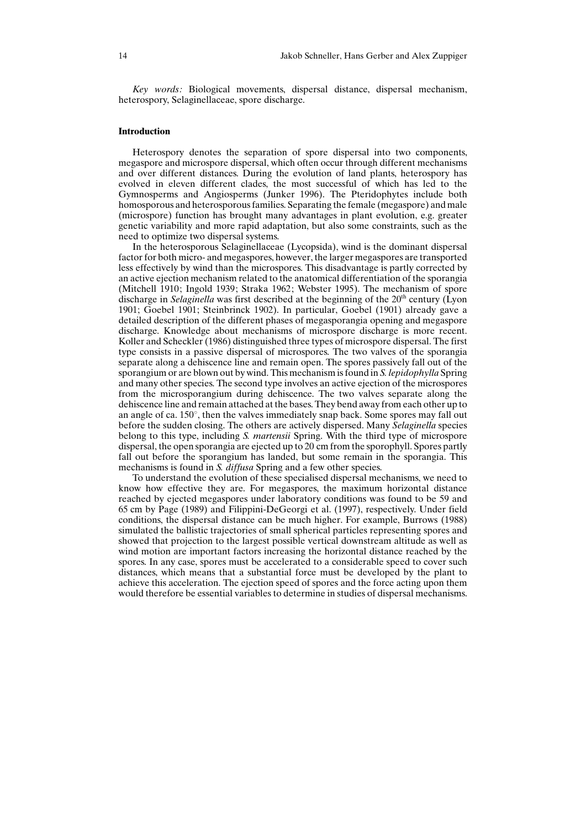Key words: Biological movements, dispersal distance, dispersal mechanism, heterospory, Selaginellaceae, spore discharge.

## Introduction

Heterospory denotes the separation of spore dispersal into two components, megaspore and microspore dispersal, which often occur through different mechanisms and over different distances. During the evolution of land plants, heterospory has evolved in eleven different clades, the most successful of which has led to the Gymnosperms and Angiosperms (Junker 1996). The Pteridophytes include both homosporous and heterosporous families. Separating the female (megaspore) and male (microspore) function has brought many advantages in plant evolution, e.g. greater genetic variability and more rapid adaptation, but also some constraints, such as the need to optimize two dispersal systems.

In the heterosporous Selaginellaceae (Lycopsida), wind is the dominant dispersal factor for both micro- and megaspores, however, the larger megaspores are transported less effectively by wind than the microspores. This disadvantage is partly corrected by an active ejection mechanism related to the anatomical differentiation of the sporangia (Mitchell 1910; Ingold 1939; Straka 1962; Webster 1995). The mechanism of spore discharge in *Selaginella* was first described at the beginning of the  $20<sup>th</sup>$  century (Lyon 1901; Goebel 1901; Steinbrinck 1902). In particular, Goebel (1901) already gave a detailed description of the different phases of megasporangia opening and megaspore discharge. Knowledge about mechanisms of microspore discharge is more recent. Koller and Scheckler (1986) distinguished three types of microspore dispersal. The first type consists in a passive dispersal of microspores. The two valves of the sporangia separate along a dehiscence line and remain open. The spores passively fall out of the sporangium or are blown out by wind. This mechanism is found in S. lepidophylla Spring and many other species. The second type involves an active ejection of the microspores from the microsporangium during dehiscence. The two valves separate along the dehiscence line and remain attached at the bases. They bend away from each other up to an angle of ca.  $150^{\circ}$ , then the valves immediately snap back. Some spores may fall out before the sudden closing. The others are actively dispersed. Many Selaginella species belong to this type, including S. martensii Spring. With the third type of microspore dispersal, the open sporangia are ejected up to 20 cm from the sporophyll. Spores partly fall out before the sporangium has landed, but some remain in the sporangia. This mechanisms is found in S. diffusa Spring and a few other species.

To understand the evolution of these specialised dispersal mechanisms, we need to know how effective they are. For megaspores, the maximum horizontal distance reached by ejected megaspores under laboratory conditions was found to be 59 and 65 cm by Page (1989) and Filippini-DeGeorgi et al. (1997), respectively. Under field conditions, the dispersal distance can be much higher. For example, Burrows (1988) simulated the ballistic trajectories of small spherical particles representing spores and showed that projection to the largest possible vertical downstream altitude as well as wind motion are important factors increasing the horizontal distance reached by the spores. In any case, spores must be accelerated to a considerable speed to cover such distances, which means that a substantial force must be developed by the plant to achieve this acceleration. The ejection speed of spores and the force acting upon them would therefore be essential variables to determine in studies of dispersal mechanisms.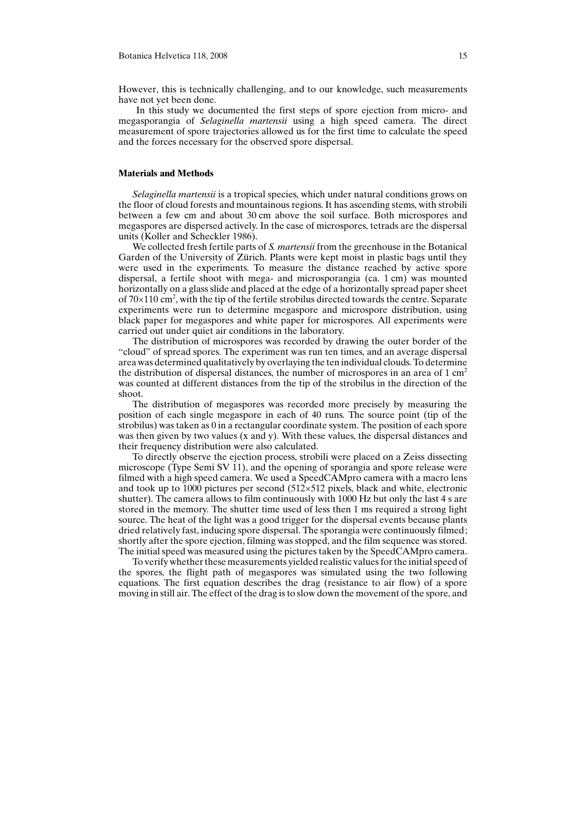However, this is technically challenging, and to our knowledge, such measurements have not yet been done.

In this study we documented the first steps of spore ejection from micro- and megasporangia of Selaginella martensii using a high speed camera. The direct measurement of spore trajectories allowed us for the first time to calculate the speed and the forces necessary for the observed spore dispersal.

#### Materials and Methods

Selaginella martensii is a tropical species, which under natural conditions grows on the floor of cloud forests and mountainous regions. It has ascending stems, with strobili between a few cm and about 30 cm above the soil surface. Both microspores and megaspores are dispersed actively. In the case of microspores, tetrads are the dispersal units (Koller and Scheckler 1986).

We collected fresh fertile parts of S. *martensii* from the greenhouse in the Botanical Garden of the University of Zürich. Plants were kept moist in plastic bags until they were used in the experiments. To measure the distance reached by active spore dispersal, a fertile shoot with mega- and microsporangia (ca. 1 cm) was mounted horizontally on a glass slide and placed at the edge of a horizontally spread paper sheet of  $70\times110$  cm<sup>2</sup>, with the tip of the fertile strobilus directed towards the centre. Separate experiments were run to determine megaspore and microspore distribution, using black paper for megaspores and white paper for microspores. All experiments were carried out under quiet air conditions in the laboratory.

The distribution of microspores was recorded by drawing the outer border of the "cloud" of spread spores. The experiment was run ten times, and an average dispersal area was determined qualitatively by overlaying the ten individual clouds. To determine the distribution of dispersal distances, the number of microspores in an area of  $1 \text{ cm}^2$ was counted at different distances from the tip of the strobilus in the direction of the shoot.

The distribution of megaspores was recorded more precisely by measuring the position of each single megaspore in each of 40 runs. The source point (tip of the strobilus) was taken as 0 in a rectangular coordinate system. The position of each spore was then given by two values (x and y). With these values, the dispersal distances and their frequency distribution were also calculated.

To directly observe the ejection process, strobili were placed on a Zeiss dissecting microscope (Type Semi SV 11), and the opening of sporangia and spore release were filmed with a high speed camera. We used a SpeedCAMpro camera with a macro lens and took up to 1000 pictures per second  $(512\times512)$  pixels, black and white, electronic shutter). The camera allows to film continuously with 1000 Hz but only the last 4 s are stored in the memory. The shutter time used of less then 1 ms required a strong light source. The heat of the light was a good trigger for the dispersal events because plants dried relatively fast, inducing spore dispersal. The sporangia were continuously filmed; shortly after the spore ejection, filming was stopped, and the film sequence was stored. The initial speed was measured using the pictures taken by the SpeedCAMpro camera.

To verify whether these measurements yielded realistic values for the initial speed of the spores, the flight path of megaspores was simulated using the two following equations. The first equation describes the drag (resistance to air flow) of a spore moving in still air. The effect of the drag is to slow down the movement of the spore, and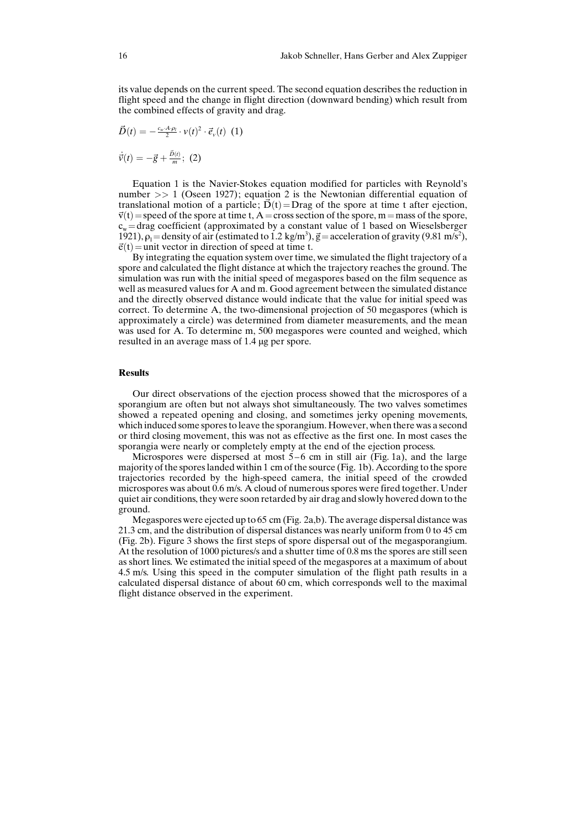its value depends on the current speed. The second equation describes the reduction in flight speed and the change in flight direction (downward bending) which result from the combined effects of gravity and drag.

$$
\vec{D}(t) = -\frac{c_w A \rho_l}{2} \cdot v(t)^2 \cdot \vec{e}_v(t) \hspace{2mm} (1)
$$

 $\dot{\vec{v}}(t) = -\vec{g} + \frac{\vec{D}(t)}{m};$  (2)

Equation 1 is the Navier-Stokes equation modified for particles with Reynold's number >> 1 (Oseen 1927); equation 2 is the Newtonian differential equation of translational motion of a particle;  $\dot{D}(t)$ =Drag of the spore at time t after ejection,  $\vec{v}(t)$  = speed of the spore at time t, A = cross section of the spore, m = mass of the spore,  $c_w$ =drag coefficient (approximated by a constant value of 1 based on Wieselsberger 1921),  $\rho_1$  = density of air (estimated to 1.2 kg/m<sup>3</sup>),  $\vec{g}$  = acceleration of gravity (9.81 m/s<sup>2</sup>),  $\vec{e}(t)$  = unit vector in direction of speed at time t.

By integrating the equation system over time, we simulated the flight trajectory of a spore and calculated the flight distance at which the trajectory reaches the ground. The simulation was run with the initial speed of megaspores based on the film sequence as well as measured values for A and m. Good agreement between the simulated distance and the directly observed distance would indicate that the value for initial speed was correct. To determine A, the two-dimensional projection of 50 megaspores (which is approximately a circle) was determined from diameter measurements, and the mean was used for A. To determine m, 500 megaspores were counted and weighed, which resulted in an average mass of 1.4 µg per spore.

### Results

Our direct observations of the ejection process showed that the microspores of a sporangium are often but not always shot simultaneously. The two valves sometimes showed a repeated opening and closing, and sometimes jerky opening movements, which induced some spores to leave the sporangium. However, when there was a second or third closing movement, this was not as effective as the first one. In most cases the sporangia were nearly or completely empty at the end of the ejection process.

Microspores were dispersed at most  $5-6$  cm in still air (Fig. 1a), and the large majority of the spores landed within 1 cm of the source (Fig. 1b). According to the spore trajectories recorded by the high-speed camera, the initial speed of the crowded microspores was about 0.6 m/s. A cloud of numerous spores were fired together. Under quiet air conditions, they were soon retarded by air drag and slowly hovered down to the ground.

Megaspores were ejected up to 65 cm (Fig. 2a,b). The average dispersal distance was 21.3 cm, and the distribution of dispersal distances was nearly uniform from 0 to 45 cm (Fig. 2b). Figure 3 shows the first steps of spore dispersal out of the megasporangium. At the resolution of 1000 pictures/s and a shutter time of 0.8 ms the spores are still seen as short lines. We estimated the initial speed of the megaspores at a maximum of about 4.5 m/s. Using this speed in the computer simulation of the flight path results in a calculated dispersal distance of about 60 cm, which corresponds well to the maximal flight distance observed in the experiment.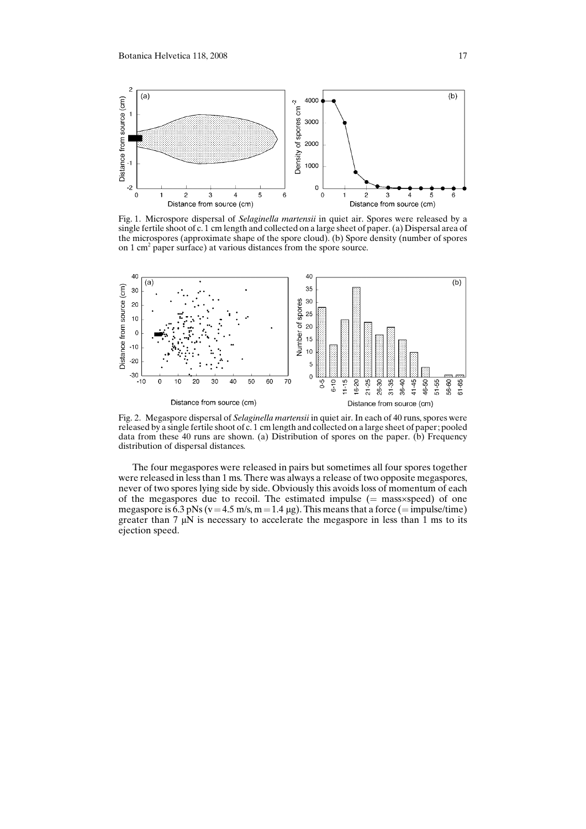

Fig. 1. Microspore dispersal of Selaginella martensii in quiet air. Spores were released by a single fertile shoot of c. 1 cm length and collected on a large sheet of paper. (a) Dispersal area of the microspores (approximate shape of the spore cloud). (b) Spore density (number of spores on 1 cm<sup>2</sup> paper surface) at various distances from the spore source.



Fig. 2. Megaspore dispersal of Selaginella martensii in quiet air. In each of 40 runs, spores were released by a single fertile shoot of c. 1 cm length and collected on a large sheet of paper; pooled data from these 40 runs are shown. (a) Distribution of spores on the paper. (b) Frequency distribution of dispersal distances.

The four megaspores were released in pairs but sometimes all four spores together were released in less than 1 ms. There was always a release of two opposite megaspores, never of two spores lying side by side. Obviously this avoids loss of momentum of each of the megaspores due to recoil. The estimated impulse  $(=$  mass $\times$ speed) of one megaspore is  $6.3$  pNs ( $v=4.5$  m/s,  $m=1.4$  µg). This means that a force (= impulse/time) greater than  $7 \mu\text{N}$  is necessary to accelerate the megaspore in less than 1 ms to its ejection speed.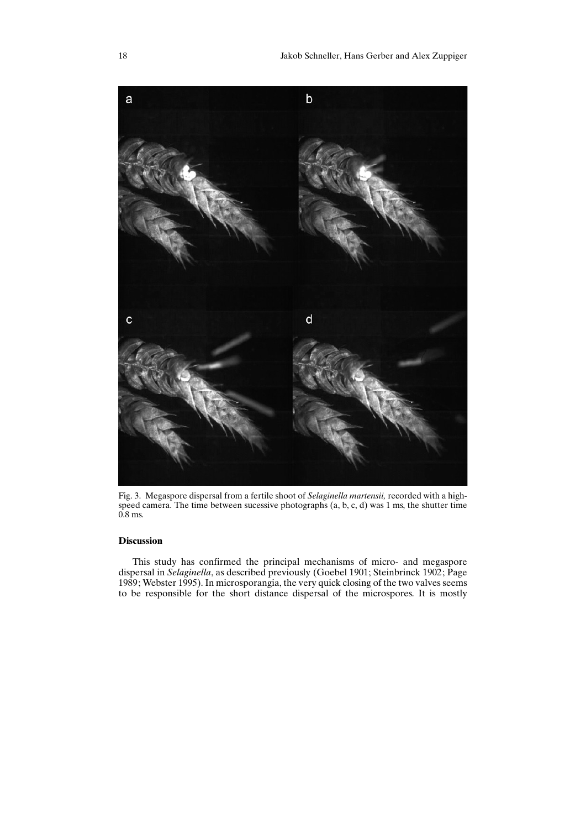

Fig. 3. Megaspore dispersal from a fertile shoot of Selaginella martensii, recorded with a highspeed camera. The time between sucessive photographs (a, b, c, d) was 1 ms, the shutter time 0.8 ms.

# Discussion

This study has confirmed the principal mechanisms of micro- and megaspore dispersal in Selaginella, as described previously (Goebel 1901; Steinbrinck 1902; Page 1989; Webster 1995). In microsporangia, the very quick closing of the two valves seems to be responsible for the short distance dispersal of the microspores. It is mostly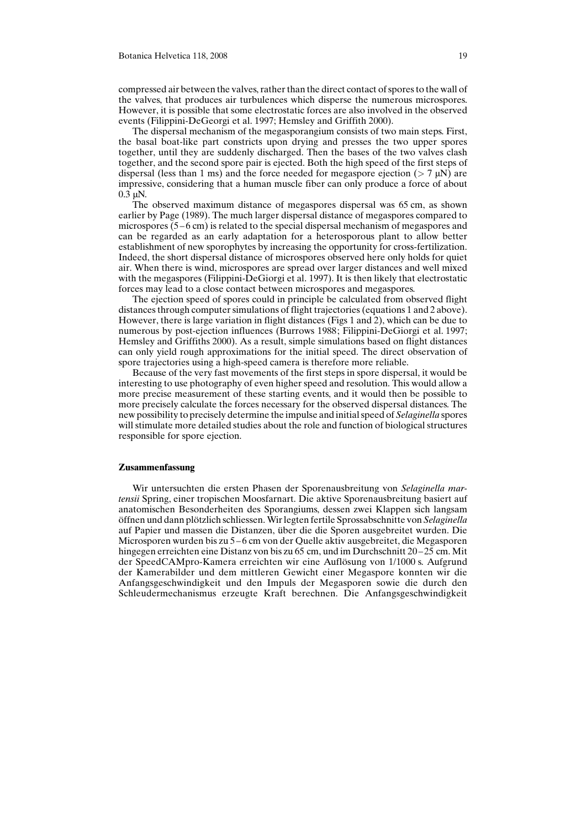compressed air between the valves, rather than the direct contact of spores to the wall of the valves, that produces air turbulences which disperse the numerous microspores. However, it is possible that some electrostatic forces are also involved in the observed events (Filippini-DeGeorgi et al. 1997; Hemsley and Griffith 2000).

The dispersal mechanism of the megasporangium consists of two main steps. First, the basal boat-like part constricts upon drying and presses the two upper spores together, until they are suddenly discharged. Then the bases of the two valves clash together, and the second spore pair is ejected. Both the high speed of the first steps of dispersal (less than 1 ms) and the force needed for megaspore ejection ( $> 7 \mu$ N) are impressive, considering that a human muscle fiber can only produce a force of about  $0.3 \mu N$ .

The observed maximum distance of megaspores dispersal was 65 cm, as shown earlier by Page (1989). The much larger dispersal distance of megaspores compared to microspores  $(5-6 \text{ cm})$  is related to the special dispersal mechanism of megaspores and can be regarded as an early adaptation for a heterosporous plant to allow better establishment of new sporophytes by increasing the opportunity for cross-fertilization. Indeed, the short dispersal distance of microspores observed here only holds for quiet air. When there is wind, microspores are spread over larger distances and well mixed with the megaspores (Filippini-DeGiorgi et al. 1997). It is then likely that electrostatic forces may lead to a close contact between microspores and megaspores.

The ejection speed of spores could in principle be calculated from observed flight distances through computer simulations of flight trajectories (equations 1 and 2 above). However, there is large variation in flight distances (Figs 1 and 2), which can be due to numerous by post-ejection influences (Burrows 1988; Filippini-DeGiorgi et al. 1997; Hemsley and Griffiths 2000). As a result, simple simulations based on flight distances can only yield rough approximations for the initial speed. The direct observation of spore trajectories using a high-speed camera is therefore more reliable.

Because of the very fast movements of the first steps in spore dispersal, it would be interesting to use photography of even higher speed and resolution. This would allow a more precise measurement of these starting events, and it would then be possible to more precisely calculate the forces necessary for the observed dispersal distances. The new possibility to precisely determine the impulse and initial speed of Selaginella spores will stimulate more detailed studies about the role and function of biological structures responsible for spore ejection.

#### Zusammenfassung

Wir untersuchten die ersten Phasen der Sporenausbreitung von Selaginella martensii Spring, einer tropischen Moosfarnart. Die aktive Sporenausbreitung basiert auf anatomischen Besonderheiten des Sporangiums, dessen zwei Klappen sich langsam öffnen und dann plötzlich schliessen. Wir legten fertile Sprossabschnitte von Selaginella auf Papier und massen die Distanzen, über die die Sporen ausgebreitet wurden. Die Microsporen wurden bis zu 5 – 6 cm von der Quelle aktiv ausgebreitet, die Megasporen hingegen erreichten eine Distanz von bis zu 65 cm, und im Durchschnitt 20–25 cm. Mit der SpeedCAMpro-Kamera erreichten wir eine Auflçsung von 1/1000 s. Aufgrund der Kamerabilder und dem mittleren Gewicht einer Megaspore konnten wir die Anfangsgeschwindigkeit und den Impuls der Megasporen sowie die durch den Schleudermechanismus erzeugte Kraft berechnen. Die Anfangsgeschwindigkeit